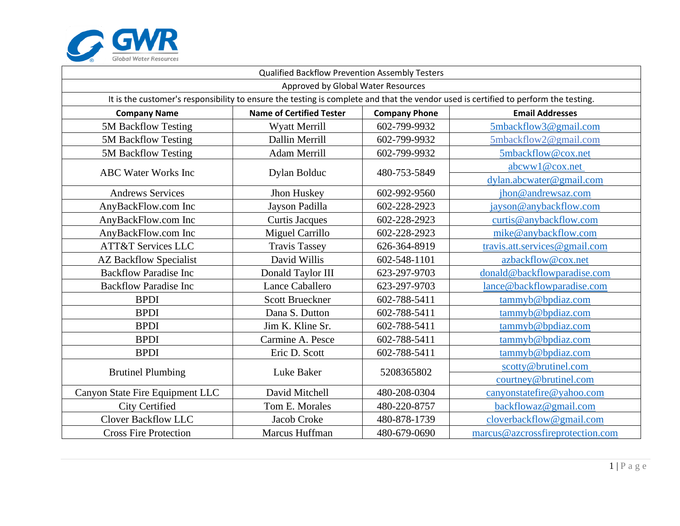

| Qualified Backflow Prevention Assembly Testers                                                                                      |                                 |                      |                                  |  |  |  |
|-------------------------------------------------------------------------------------------------------------------------------------|---------------------------------|----------------------|----------------------------------|--|--|--|
| Approved by Global Water Resources                                                                                                  |                                 |                      |                                  |  |  |  |
| It is the customer's responsibility to ensure the testing is complete and that the vendor used is certified to perform the testing. |                                 |                      |                                  |  |  |  |
| <b>Company Name</b>                                                                                                                 | <b>Name of Certified Tester</b> | <b>Company Phone</b> | <b>Email Addresses</b>           |  |  |  |
| 5M Backflow Testing                                                                                                                 | Wyatt Merrill                   | 602-799-9932         | 5mbackflow3@gmail.com            |  |  |  |
| 5M Backflow Testing                                                                                                                 | Dallin Merrill                  | 602-799-9932         | 5mbackflow2@gmail.com            |  |  |  |
| 5M Backflow Testing                                                                                                                 | Adam Merrill                    | 602-799-9932         | 5mbackflow@cox.net               |  |  |  |
| <b>ABC Water Works Inc</b>                                                                                                          | Dylan Bolduc                    | 480-753-5849         | abcww1@cox.net                   |  |  |  |
|                                                                                                                                     |                                 |                      | dylan.abcwater@gmail.com         |  |  |  |
| <b>Andrews Services</b>                                                                                                             | Jhon Huskey                     | 602-992-9560         | jhon@andrewsaz.com               |  |  |  |
| AnyBackFlow.com Inc                                                                                                                 | Jayson Padilla                  | 602-228-2923         | jayson@anybackflow.com           |  |  |  |
| AnyBackFlow.com Inc                                                                                                                 | <b>Curtis Jacques</b>           | 602-228-2923         | curtis@anybackflow.com           |  |  |  |
| AnyBackFlow.com Inc                                                                                                                 | Miguel Carrillo                 | 602-228-2923         | mike@anybackflow.com             |  |  |  |
| <b>ATT&amp;T Services LLC</b>                                                                                                       | <b>Travis Tassey</b>            | 626-364-8919         | travis.att.services@gmail.com    |  |  |  |
| <b>AZ Backflow Specialist</b>                                                                                                       | David Willis                    | 602-548-1101         | azbackflow@cox.net               |  |  |  |
| <b>Backflow Paradise Inc</b>                                                                                                        | Donald Taylor III               | 623-297-9703         | donald@backflowparadise.com      |  |  |  |
| <b>Backflow Paradise Inc</b>                                                                                                        | Lance Caballero                 | 623-297-9703         | lance@backflowparadise.com       |  |  |  |
| <b>BPDI</b>                                                                                                                         | <b>Scott Brueckner</b>          | 602-788-5411         | tammyb@bpdiaz.com                |  |  |  |
| <b>BPDI</b>                                                                                                                         | Dana S. Dutton                  | 602-788-5411         | tammyb@bpdiaz.com                |  |  |  |
| <b>BPDI</b>                                                                                                                         | Jim K. Kline Sr.                | 602-788-5411         | tammyb@bpdiaz.com                |  |  |  |
| <b>BPDI</b>                                                                                                                         | Carmine A. Pesce                | 602-788-5411         | tammyb@bpdiaz.com                |  |  |  |
| <b>BPDI</b>                                                                                                                         | Eric D. Scott                   | 602-788-5411         | tammyb@bpdiaz.com                |  |  |  |
|                                                                                                                                     | Luke Baker                      | 5208365802           | scotty@brutinel.com              |  |  |  |
| <b>Brutinel Plumbing</b>                                                                                                            |                                 |                      | courtney@brutinel.com            |  |  |  |
| Canyon State Fire Equipment LLC                                                                                                     | David Mitchell                  | 480-208-0304         | canyonstatefire@yahoo.com        |  |  |  |
| <b>City Certified</b>                                                                                                               | Tom E. Morales                  | 480-220-8757         | backflowaz@gmail.com             |  |  |  |
| <b>Clover Backflow LLC</b>                                                                                                          | Jacob Croke                     | 480-878-1739         | cloverbackflow@gmail.com         |  |  |  |
| <b>Cross Fire Protection</b>                                                                                                        | Marcus Huffman                  | 480-679-0690         | marcus@azcrossfireprotection.com |  |  |  |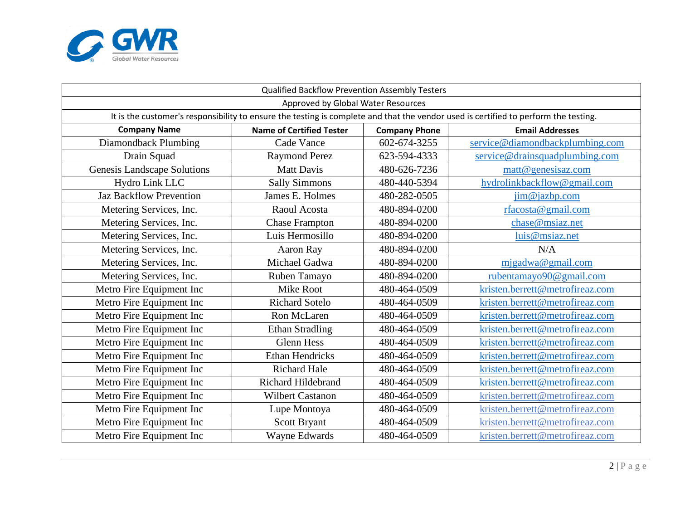

| Qualified Backflow Prevention Assembly Testers                                                                                      |                                 |                      |                                 |  |  |  |
|-------------------------------------------------------------------------------------------------------------------------------------|---------------------------------|----------------------|---------------------------------|--|--|--|
| Approved by Global Water Resources                                                                                                  |                                 |                      |                                 |  |  |  |
| It is the customer's responsibility to ensure the testing is complete and that the vendor used is certified to perform the testing. |                                 |                      |                                 |  |  |  |
| <b>Company Name</b>                                                                                                                 | <b>Name of Certified Tester</b> | <b>Company Phone</b> | <b>Email Addresses</b>          |  |  |  |
| Diamondback Plumbing                                                                                                                | Cade Vance                      | 602-674-3255         | service@diamondbackplumbing.com |  |  |  |
| Drain Squad                                                                                                                         | <b>Raymond Perez</b>            | 623-594-4333         | service@drainsquadplumbing.com  |  |  |  |
| <b>Genesis Landscape Solutions</b>                                                                                                  | <b>Matt Davis</b>               | 480-626-7236         | matt@genesisaz.com              |  |  |  |
| Hydro Link LLC                                                                                                                      | <b>Sally Simmons</b>            | 480-440-5394         | hydrolinkbackflow@gmail.com     |  |  |  |
| <b>Jaz Backflow Prevention</b>                                                                                                      | James E. Holmes                 | 480-282-0505         | $\lim$ @ jazbp.com              |  |  |  |
| Metering Services, Inc.                                                                                                             | Raoul Acosta                    | 480-894-0200         | rfacosta@gmail.com              |  |  |  |
| Metering Services, Inc.                                                                                                             | <b>Chase Frampton</b>           | 480-894-0200         | chase@msiaz.net                 |  |  |  |
| Metering Services, Inc.                                                                                                             | Luis Hermosillo                 | 480-894-0200         | luis@msiaz.net                  |  |  |  |
| Metering Services, Inc.                                                                                                             | Aaron Ray                       | 480-894-0200         | N/A                             |  |  |  |
| Metering Services, Inc.                                                                                                             | Michael Gadwa                   | 480-894-0200         | migadwa@gmail.com               |  |  |  |
| Metering Services, Inc.                                                                                                             | Ruben Tamayo                    | 480-894-0200         | rubentamayo90@gmail.com         |  |  |  |
| Metro Fire Equipment Inc                                                                                                            | Mike Root                       | 480-464-0509         | kristen.berrett@metrofireaz.com |  |  |  |
| Metro Fire Equipment Inc                                                                                                            | <b>Richard Sotelo</b>           | 480-464-0509         | kristen.berrett@metrofireaz.com |  |  |  |
| Metro Fire Equipment Inc                                                                                                            | Ron McLaren                     | 480-464-0509         | kristen.berrett@metrofireaz.com |  |  |  |
| Metro Fire Equipment Inc                                                                                                            | <b>Ethan Stradling</b>          | 480-464-0509         | kristen.berrett@metrofireaz.com |  |  |  |
| Metro Fire Equipment Inc                                                                                                            | <b>Glenn Hess</b>               | 480-464-0509         | kristen.berrett@metrofireaz.com |  |  |  |
| Metro Fire Equipment Inc                                                                                                            | <b>Ethan Hendricks</b>          | 480-464-0509         | kristen.berrett@metrofireaz.com |  |  |  |
| Metro Fire Equipment Inc                                                                                                            | <b>Richard Hale</b>             | 480-464-0509         | kristen.berrett@metrofireaz.com |  |  |  |
| Metro Fire Equipment Inc                                                                                                            | Richard Hildebrand              | 480-464-0509         | kristen.berrett@metrofireaz.com |  |  |  |
| Metro Fire Equipment Inc                                                                                                            | <b>Wilbert Castanon</b>         | 480-464-0509         | kristen.berrett@metrofireaz.com |  |  |  |
| Metro Fire Equipment Inc                                                                                                            | Lupe Montoya                    | 480-464-0509         | kristen.berrett@metrofireaz.com |  |  |  |
| Metro Fire Equipment Inc                                                                                                            | Scott Bryant                    | 480-464-0509         | kristen.berrett@metrofireaz.com |  |  |  |
| Metro Fire Equipment Inc                                                                                                            | Wayne Edwards                   | 480-464-0509         | kristen.berrett@metrofireaz.com |  |  |  |